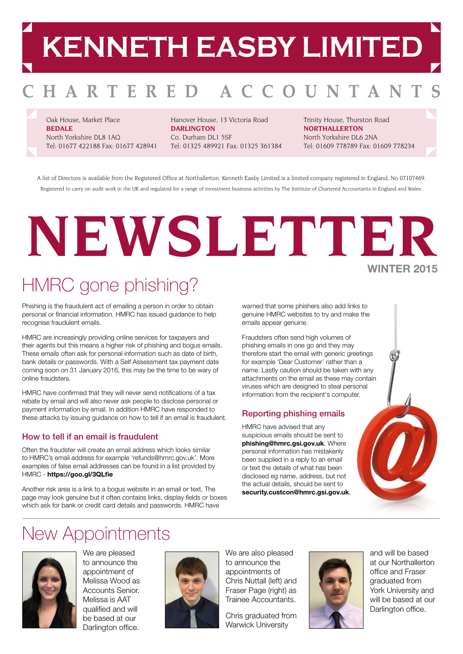# **KENNETH EASBY LIMITED**

#### HARTERED O U N **TAN**  $\mathbf{A}$

Oak House, Market Place **BEDALE** North Yorkshire DL8 1AQ Tel: 01677 422188 Fax: 01677 428941

Hanover House, 13 Victoria Road **DARLINGTON** Co. Durham DL1 5SF Tel: 01325 489921 Fax: 01325 361384 Trinity House, Thurston Road **NORTHALLERTON** North Yorkshire DL6 2NA Tel: 01609 778789 Fax: 01609 778234

A list of Directors is available from the Registered Office at Northallerton. Kenneth Easby Limited is a limited company registered in England, No 07107469. Registered to carry on audit work in the UK and regulated for a range of investment business activities by The Institute of Chartered Accountants in England and Wales.

## **NEWSLETTER WINTER 2015**

### HMRC gone phishing?

Phishing is the fraudulent act of emailing a person in order to obtain personal or financial information. HMRC has issued guidance to help recognise fraudulent emails.

HMRC are increasingly providing online services for taxpayers and their agents but this means a higher risk of phishing and bogus emails. These emails often ask for personal information such as date of birth, bank details or passwords. With a Self Assessment tax payment date coming soon on 31 January 2016, this may be the time to be wary of online fraudsters.

HMRC have confirmed that they will never send notifications of a tax rebate by email and will also never ask people to disclose personal or payment information by email. In addition HMRC have responded to these attacks by issuing guidance on how to tell if an email is fraudulent.

#### How to tell if an email is fraudulent

Often the fraudster will create an email address which looks similar to HMRC's email address for example 'refunds@hmrc.gov.uk'. More examples of false email addresses can be found in a list provided by HMRC - **https://goo.gl/3QLfie**

Another risk area is a link to a bogus website in an email or text. The page may look genuine but it often contains links, display fields or boxes which ask for bank or credit card details and passwords. HMRC have

warned that some phishers also add links to genuine HMRC websites to try and make the emails appear genuine.

Fraudsters often send high volumes of phishing emails in one go and they may therefore start the email with generic greetings for example 'Dear Customer' rather than a name. Lastly caution should be taken with any attachments on the email as these may contain viruses which are designed to steal perso information from the recipient's compute

#### Reporting phishing emails

HMRC have advised that any suspicious emails should be sent to **phishing@hmrc.gsi.gov.uk**. Where personal information has mistakenly been supplied in a reply to an email or text the details of what has been disclosed eg name, address, but not the actual details, should be sent to **security.custcon@hmrc.gsi.gov.uk**.

| onal<br>r. |  |
|------------|--|
|            |  |
|            |  |
|            |  |

### New Appointments



We are pleased to announce the appointment of Melissa Wood as Accounts Senior. Melissa is AAT qualified and will be based at our Darlington office.



We are also pleased to announce the appointments of Chris Nuttall (left) and Fraser Page (right) as Trainee Accountants.

Chris graduated from Warwick University



and will be based at our Northallerton office and Fraser graduated from York University and will be based at our Darlington office.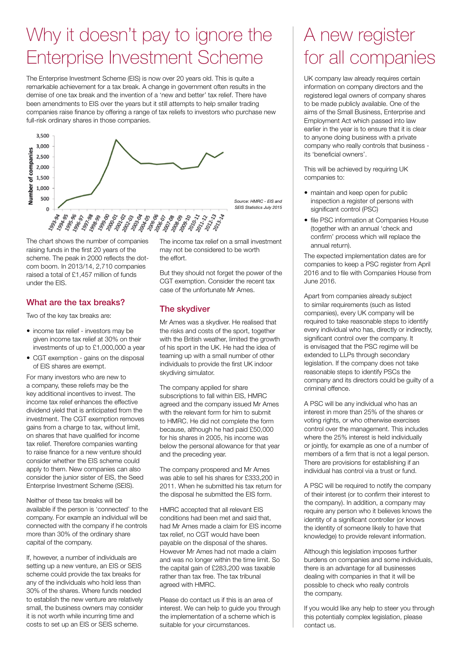### Why it doesn't pay to ignore the Enterprise Investment Scheme

The Enterprise Investment Scheme (EIS) is now over 20 years old. This is quite a remarkable achievement for a tax break. A change in government often results in the demise of one tax break and the invention of a 'new and better' tax relief. There have been amendments to EIS over the years but it still attempts to help smaller trading companies raise finance by offering a range of tax reliefs to investors who purchase new full-risk ordinary shares in those companies.



 The chart shows the number of companies raising funds in the first 20 years of the scheme. The peak in 2000 reflects the dotcom boom. In 2013/14, 2,710 companies raised a total of £1,457 million of funds under the EIS.

#### What are the tax breaks?

Two of the key tax breaks are:

- income tax relief investors may be given income tax relief at 30% on their investments of up to £1,000,000 a year
- CGT exemption gains on the disposal of EIS shares are exempt.

For many investors who are new to a company, these reliefs may be the key additional incentives to invest. The income tax relief enhances the effective dividend yield that is anticipated from the investment. The CGT exemption removes gains from a charge to tax, without limit, on shares that have qualified for income tax relief. Therefore companies wanting to raise finance for a new venture should consider whether the EIS scheme could apply to them. New companies can also consider the junior sister of EIS, the Seed Enterprise Investment Scheme (SEIS).

Neither of these tax breaks will be available if the person is 'connected' to the company. For example an individual will be connected with the company if he controls more than 30% of the ordinary share capital of the company.

If, however, a number of individuals are setting up a new venture, an EIS or SEIS scheme could provide the tax breaks for any of the individuals who hold less than 30% of the shares. Where funds needed to establish the new venture are relatively small, the business owners may consider it is not worth while incurring time and costs to set up an EIS or SEIS scheme.

The income tax relief on a small investment may not be considered to be worth the effort.

But they should not forget the power of the CGT exemption. Consider the recent tax case of the unfortunate Mr Ames.

#### The skydiver

Mr Ames was a skydiver. He realised that the risks and costs of the sport, together with the British weather, limited the growth of his sport in the UK. He had the idea of teaming up with a small number of other individuals to provide the first UK indoor skydiving simulator.

The company applied for share subscriptions to fall within EIS, HMRC agreed and the company issued Mr Ames with the relevant form for him to submit to HMRC. He did not complete the form because, although he had paid £50,000 for his shares in 2005, his income was below the personal allowance for that year and the preceding year.

The company prospered and Mr Ames was able to sell his shares for £333,200 in 2011. When he submitted his tax return for the disposal he submitted the EIS form.

HMRC accepted that all relevant EIS conditions had been met and said that, had Mr Ames made a claim for EIS income tax relief, no CGT would have been payable on the disposal of the shares. However Mr Ames had not made a claim and was no longer within the time limit. So the capital gain of £283,200 was taxable rather than tax free. The tax tribunal agreed with HMRC.

Please do contact us if this is an area of interest. We can help to guide you through the implementation of a scheme which is suitable for your circumstances.

### A new register for all companies

 UK company law already requires certain information on company directors and the registered legal owners of company shares to be made publicly available. One of the aims of the Small Business, Enterprise and Employment Act which passed into law earlier in the year is to ensure that it is clear to anyone doing business with a private company who really controls that business its 'beneficial owners'.

This will be achieved by requiring UK companies to:

- maintain and keep open for public inspection a register of persons with significant control (PSC)
- file PSC information at Companies House (together with an annual 'check and confirm' process which will replace the annual return).

The expected implementation dates are for companies to keep a PSC register from April 2016 and to file with Companies House from June 2016.

Apart from companies already subject to similar requirements (such as listed companies), every UK company will be required to take reasonable steps to identify every individual who has, directly or indirectly, significant control over the company. It is envisaged that the PSC regime will be extended to LLPs through secondary legislation. If the company does not take reasonable steps to identify PSCs the company and its directors could be guilty of a criminal offence.

A PSC will be any individual who has an interest in more than 25% of the shares or voting rights, or who otherwise exercises control over the management. This includes where the 25% interest is held individually or jointly, for example as one of a number of members of a firm that is not a legal person. There are provisions for establishing if an individual has control via a trust or fund.

A PSC will be required to notify the company of their interest (or to confirm their interest to the company). In addition, a company may require any person who it believes knows the identity of a significant controller (or knows the identity of someone likely to have that knowledge) to provide relevant information.

Although this legislation imposes further burdens on companies and some individuals, there is an advantage for all businesses dealing with companies in that it will be possible to check who really controls the company.

If you would like any help to steer you through this potentially complex legislation, please contact us.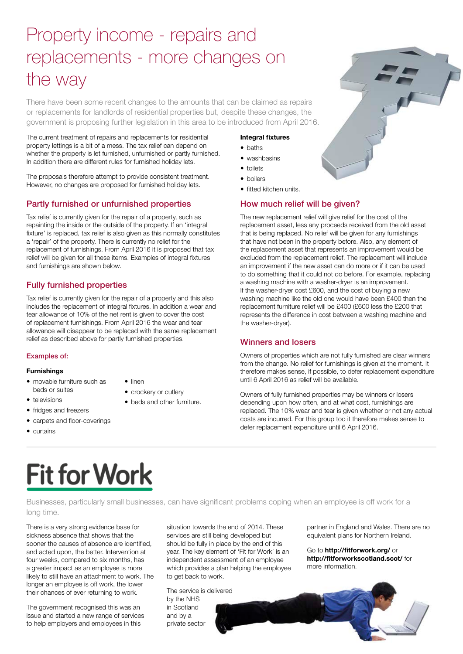### Property income - repairs and replacements - more changes on the way

There have been some recent changes to the amounts that can be claimed as repairs or replacements for landlords of residential properties but, despite these changes, the government is proposing further legislation in this area to be introduced from April 2016.

The current treatment of repairs and replacements for residential property lettings is a bit of a mess. The tax relief can depend on whether the property is let furnished, unfurnished or partly furnished. In addition there are different rules for furnished holiday lets.

The proposals therefore attempt to provide consistent treatment. However, no changes are proposed for furnished holiday lets.

#### Partly furnished or unfurnished properties

Tax relief is currently given for the repair of a property, such as repainting the inside or the outside of the property. If an 'integral fixture' is replaced, tax relief is also given as this normally constitutes a 'repair' of the property. There is currently no relief for the replacement of furnishings. From April 2016 it is proposed that tax relief will be given for all these items. Examples of integral fixtures and furnishings are shown below.

#### Fully furnished properties

Tax relief is currently given for the repair of a property and this also includes the replacement of integral fixtures. In addition a wear and tear allowance of 10% of the net rent is given to cover the cost of replacement furnishings. From April 2016 the wear and tear allowance will disappear to be replaced with the same replacement relief as described above for partly furnished properties.

#### Examples of:

#### **Furnishings**

**•** televisions

- movable furniture such as beds or suites
- $\bullet$  linen
- crockery or cutlery
	- beds and other furniture.
- fridges and freezers
- carpets and floor-coverings
- $\bullet$  curtains

#### **Integral fixtures**

- baths
- washbasins
- $\bullet$  toilets
- boilers
- fitted kitchen units.

#### How much relief will be given?

The new replacement relief will give relief for the cost of the replacement asset, less any proceeds received from the old asset that is being replaced. No relief will be given for any furnishings that have not been in the property before. Also, any element of the replacement asset that represents an improvement would be excluded from the replacement relief. The replacement will include an improvement if the new asset can do more or if it can be used to do something that it could not do before. For example, replacing a washing machine with a washer-dryer is an improvement. If the washer-dryer cost £600, and the cost of buying a new washing machine like the old one would have been £400 then the replacement furniture relief will be £400 (£600 less the £200 that represents the difference in cost between a washing machine and the washer-dryer).

#### Winners and losers

Owners of properties which are not fully furnished are clear winners from the change. No relief for furnishings is given at the moment. It therefore makes sense, if possible, to defer replacement expenditure until 6 April 2016 as relief will be available.

Owners of fully furnished properties may be winners or losers depending upon how often, and at what cost, furnishings are replaced. The 10% wear and tear is given whether or not any actual costs are incurred. For this group too it therefore makes sense to defer replacement expenditure until 6 April 2016.

## Fit for Work

Businesses, particularly small businesses, can have significant problems coping when an employee is off work for a long time.

There is a very strong evidence base for sickness absence that shows that the sooner the causes of absence are identified. and acted upon, the better. Intervention at four weeks, compared to six months, has a greater impact as an employee is more likely to still have an attachment to work. The longer an employee is off work, the lower their chances of ever returning to work.

The government recognised this was an issue and started a new range of services to help employers and employees in this

situation towards the end of 2014. These services are still being developed but should be fully in place by the end of this year. The key element of 'Fit for Work' is an independent assessment of an employee which provides a plan helping the employee to get back to work.

The service is delivered by the NHS in Scotland and by a private sector

partner in England and Wales. There are no equivalent plans for Northern Ireland.

Go to **http://fitforwork.org/** or **http://fitforworkscotland.scot/** for more information.